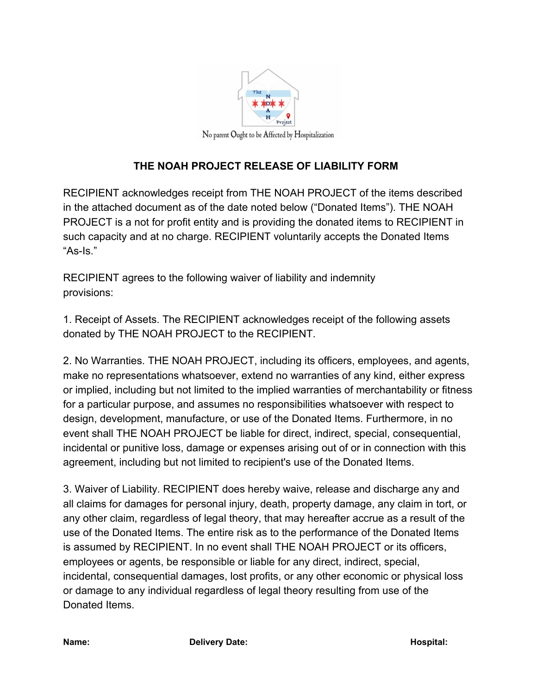

## **THE NOAH PROJECT RELEASE OF LIABILITY FORM**

RECIPIENT acknowledges receipt from THE NOAH PROJECT of the items described in the attached document as of the date noted below ("Donated Items"). THE NOAH PROJECT is a not for profit entity and is providing the donated items to RECIPIENT in such capacity and at no charge. RECIPIENT voluntarily accepts the Donated Items "As-Is."

RECIPIENT agrees to the following waiver of liability and indemnity provisions:

1. Receipt of Assets. The RECIPIENT acknowledges receipt of the following assets donated by THE NOAH PROJECT to the RECIPIENT.

2. No Warranties. THE NOAH PROJECT, including its officers, employees, and agents, make no representations whatsoever, extend no warranties of any kind, either express or implied, including but not limited to the implied warranties of merchantability or fitness for a particular purpose, and assumes no responsibilities whatsoever with respect to design, development, manufacture, or use of the Donated Items. Furthermore, in no event shall THE NOAH PROJECT be liable for direct, indirect, special, consequential, incidental or punitive loss, damage or expenses arising out of or in connection with this agreement, including but not limited to recipient's use of the Donated Items.

3. Waiver of Liability. RECIPIENT does hereby waive, release and discharge any and all claims for damages for personal injury, death, property damage, any claim in tort, or any other claim, regardless of legal theory, that may hereafter accrue as a result of the use of the Donated Items. The entire risk as to the performance of the Donated Items is assumed by RECIPIENT. In no event shall THE NOAH PROJECT or its officers, employees or agents, be responsible or liable for any direct, indirect, special, incidental, consequential damages, lost profits, or any other economic or physical loss or damage to any individual regardless of legal theory resulting from use of the Donated Items.

**Name: Delivery Date: Hospital: Hospital: Hospital: Hospital: Hospital: Hospital: Hospital: Hospital: Hospital: Hospital: Hospital: Hospital: Hospital: Hospital: Hospital: Hospital: Hosp**